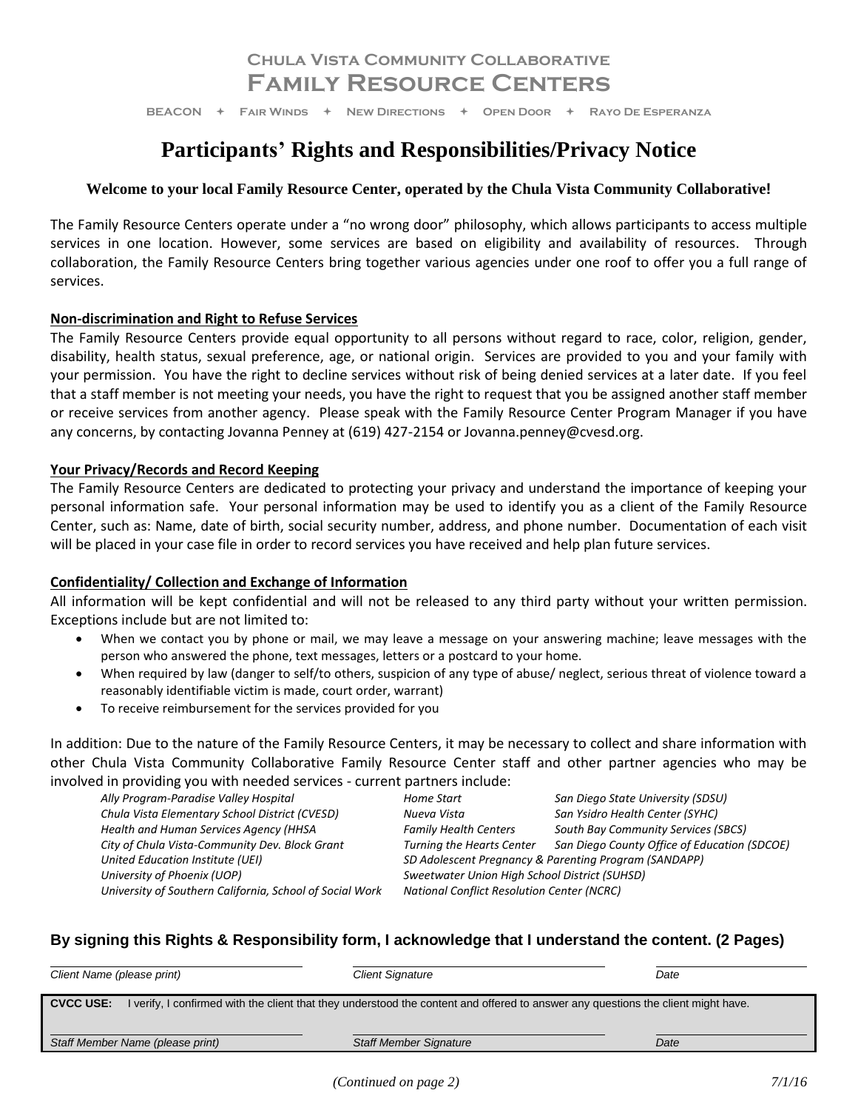## **Chula Vista Community Collaborative Family Resource Centers**

**BEACON Fair Winds New Directions Open Door Rayo De Esperanza**

# **Participants' Rights and Responsibilities/Privacy Notice**

## **Welcome to your local Family Resource Center, operated by the Chula Vista Community Collaborative!**

The Family Resource Centers operate under a "no wrong door" philosophy, which allows participants to access multiple services in one location. However, some services are based on eligibility and availability of resources. Through collaboration, the Family Resource Centers bring together various agencies under one roof to offer you a full range of services.

## **Non-discrimination and Right to Refuse Services**

The Family Resource Centers provide equal opportunity to all persons without regard to race, color, religion, gender, disability, health status, sexual preference, age, or national origin. Services are provided to you and your family with your permission. You have the right to decline services without risk of being denied services at a later date. If you feel that a staff member is not meeting your needs, you have the right to request that you be assigned another staff member or receive services from another agency. Please speak with the Family Resource Center Program Manager if you have any concerns, by contacting Jovanna Penney at (619) 427-2154 or Jovanna.penney@cvesd.org.

## **Your Privacy/Records and Record Keeping**

The Family Resource Centers are dedicated to protecting your privacy and understand the importance of keeping your personal information safe. Your personal information may be used to identify you as a client of the Family Resource Center, such as: Name, date of birth, social security number, address, and phone number. Documentation of each visit will be placed in your case file in order to record services you have received and help plan future services.

## **Confidentiality/ Collection and Exchange of Information**

All information will be kept confidential and will not be released to any third party without your written permission. Exceptions include but are not limited to:

- When we contact you by phone or mail, we may leave a message on your answering machine; leave messages with the person who answered the phone, text messages, letters or a postcard to your home.
- When required by law (danger to self/to others, suspicion of any type of abuse/ neglect, serious threat of violence toward a reasonably identifiable victim is made, court order, warrant)
- To receive reimbursement for the services provided for you

In addition: Due to the nature of the Family Resource Centers, it may be necessary to collect and share information with other Chula Vista Community Collaborative Family Resource Center staff and other partner agencies who may be involved in providing you with needed services - current partners include:

| $\sim$ providing you with no called Johnson can che partners increase. |                                                       |                                              |  |
|------------------------------------------------------------------------|-------------------------------------------------------|----------------------------------------------|--|
| Ally Program-Paradise Valley Hospital                                  | Home Start                                            | San Diego State University (SDSU)            |  |
| Chula Vista Elementary School District (CVESD)                         | Nueva Vista                                           | San Ysidro Health Center (SYHC)              |  |
| Health and Human Services Agency (HHSA                                 | <b>Family Health Centers</b>                          | <b>South Bay Community Services (SBCS)</b>   |  |
| City of Chula Vista-Community Dev. Block Grant                         | <b>Turning the Hearts Center</b>                      | San Diego County Office of Education (SDCOE) |  |
| United Education Institute (UEI)                                       | SD Adolescent Pregnancy & Parenting Program (SANDAPP) |                                              |  |
| University of Phoenix (UOP)                                            | Sweetwater Union High School District (SUHSD)         |                                              |  |
| University of Southern California, School of Social Work               | National Conflict Resolution Center (NCRC)            |                                              |  |
|                                                                        |                                                       |                                              |  |

## **By signing this Rights & Responsibility form, I acknowledge that I understand the content. (2 Pages)**

| Client Name (please print)                                                                                                                            | <b>Client Signature</b>       | Date |  |  |
|-------------------------------------------------------------------------------------------------------------------------------------------------------|-------------------------------|------|--|--|
| I verify, I confirmed with the client that they understood the content and offered to answer any questions the client might have.<br><b>CVCC USE:</b> |                               |      |  |  |
|                                                                                                                                                       |                               |      |  |  |
| Staff Member Name (please print)                                                                                                                      | <b>Staff Member Signature</b> | Date |  |  |